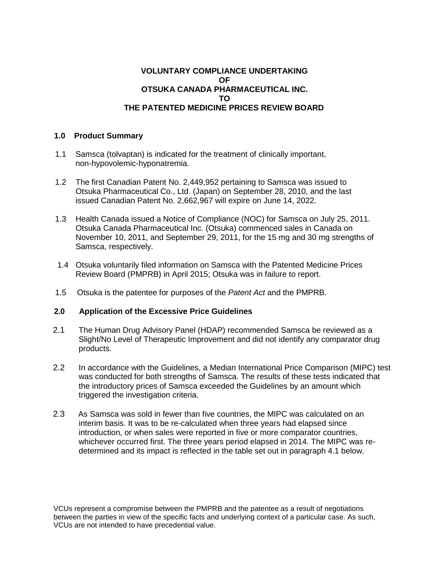# **VOLUNTARY COMPLIANCE UNDERTAKING OF OTSUKA CANADA PHARMACEUTICAL INC. TO THE PATENTED MEDICINE PRICES REVIEW BOARD**

#### **1.0 Product Summary**

- 1.1 Samsca (tolvaptan) is indicated for the treatment of clinically important, non-hypovolemic-hyponatremia.
- 1.2 The first Canadian Patent No. 2,449,952 pertaining to Samsca was issued to Otsuka Pharmaceutical Co., Ltd. (Japan) on September 28, 2010, and the last issued Canadian Patent No. 2,662,967 will expire on June 14, 2022.
- 1.3 Health Canada issued a Notice of Compliance (NOC) for Samsca on July 25, 2011. Otsuka Canada Pharmaceutical Inc. (Otsuka) commenced sales in Canada on November 10, 2011, and September 29, 2011, for the 15 mg and 30 mg strengths of Samsca, respectively.
- 1.4 Otsuka voluntarily filed information on Samsca with the Patented Medicine Prices Review Board (PMPRB) in April 2015; Otsuka was in failure to report.
- 1.5 Otsuka is the patentee for purposes of the *Patent Act* and the PMPRB.

# **2.0 Application of the Excessive Price Guidelines**

- 2.1 The Human Drug Advisory Panel (HDAP) recommended Samsca be reviewed as a Slight/No Level of Therapeutic Improvement and did not identify any comparator drug products.
- 2.2 In accordance with the Guidelines, a Median International Price Comparison (MIPC) test was conducted for both strengths of Samsca. The results of these tests indicated that the introductory prices of Samsca exceeded the Guidelines by an amount which triggered the investigation criteria.
- 2.3 As Samsca was sold in fewer than five countries, the MIPC was calculated on an interim basis. It was to be re-calculated when three years had elapsed since introduction, or when sales were reported in five or more comparator countries, whichever occurred first. The three years period elapsed in 2014. The MIPC was redetermined and its impact is reflected in the table set out in paragraph 4.1 below.

VCUs represent a compromise between the PMPRB and the patentee as a result of negotiations between the parties in view of the specific facts and underlying context of a particular case. As such, VCUs are not intended to have precedential value.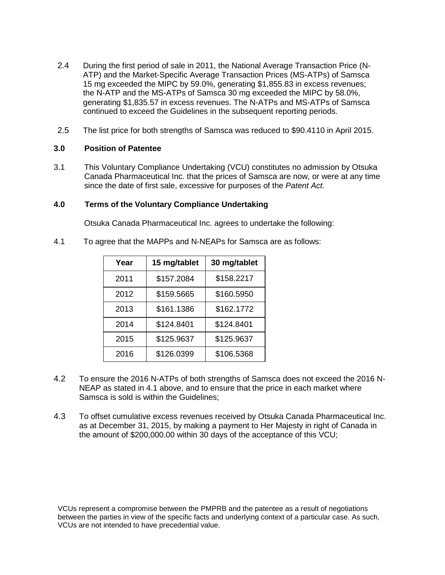- 2.4 During the first period of sale in 2011, the National Average Transaction Price (N-ATP) and the Market-Specific Average Transaction Prices (MS-ATPs) of Samsca 15 mg exceeded the MIPC by 59.0%, generating \$1,855.83 in excess revenues; the N-ATP and the MS-ATPs of Samsca 30 mg exceeded the MIPC by 58.0%, generating \$1,835.57 in excess revenues. The N-ATPs and MS-ATPs of Samsca continued to exceed the Guidelines in the subsequent reporting periods.
- 2.5 The list price for both strengths of Samsca was reduced to \$90.4110 in April 2015.

### **3.0 Position of Patentee**

3.1 This Voluntary Compliance Undertaking (VCU) constitutes no admission by Otsuka Canada Pharmaceutical Inc. that the prices of Samsca are now, or were at any time since the date of first sale, excessive for purposes of the *Patent Act.*

# **4.0 Terms of the Voluntary Compliance Undertaking**

Otsuka Canada Pharmaceutical Inc. agrees to undertake the following:

4.1 To agree that the MAPPs and N-NEAPs for Samsca are as follows:

| Year | 15 mg/tablet | 30 mg/tablet |
|------|--------------|--------------|
| 2011 | \$157.2084   | \$158.2217   |
| 2012 | \$159.5665   | \$160.5950   |
| 2013 | \$161.1386   | \$162.1772   |
| 2014 | \$124.8401   | \$124.8401   |
| 2015 | \$125.9637   | \$125.9637   |
| 2016 | \$126.0399   | \$106.5368   |

- 4.2 To ensure the 2016 N-ATPs of both strengths of Samsca does not exceed the 2016 N-NEAP as stated in 4.1 above, and to ensure that the price in each market where Samsca is sold is within the Guidelines;
- 4.3 To offset cumulative excess revenues received by Otsuka Canada Pharmaceutical Inc. as at December 31, 2015, by making a payment to Her Majesty in right of Canada in the amount of \$200,000.00 within 30 days of the acceptance of this VCU;

VCUs represent a compromise between the PMPRB and the patentee as a result of negotiations between the parties in view of the specific facts and underlying context of a particular case. As such, VCUs are not intended to have precedential value.